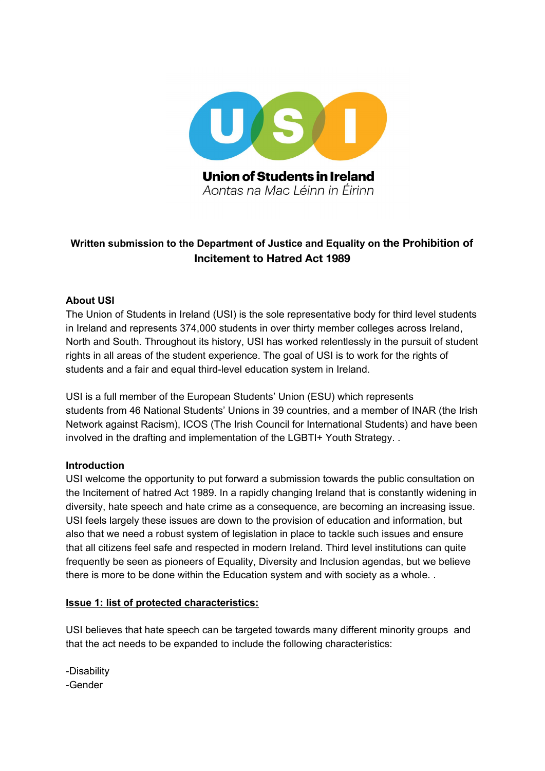

# **Written submission to the Department of Justice and Equality on the Prohibition of Incitement to Hatred Act 1989**

### **About USI**

The Union of Students in Ireland (USI) is the sole representative body for third level students in Ireland and represents 374,000 students in over thirty member colleges across Ireland, North and South. Throughout its history, USI has worked relentlessly in the pursuit of student rights in all areas of the student experience. The goal of USI is to work for the rights of students and a fair and equal third-level education system in Ireland.

USI is a full member of the European Students' Union (ESU) which represents students from 46 National Students' Unions in 39 countries, and a member of INAR (the Irish Network against Racism), ICOS (The Irish Council for International Students) and have been involved in the drafting and implementation of the LGBTI+ Youth Strategy. .

### **Introduction**

USI welcome the opportunity to put forward a submission towards the public consultation on the Incitement of hatred Act 1989. In a rapidly changing Ireland that is constantly widening in diversity, hate speech and hate crime as a consequence, are becoming an increasing issue. USI feels largely these issues are down to the provision of education and information, but also that we need a robust system of legislation in place to tackle such issues and ensure that all citizens feel safe and respected in modern Ireland. Third level institutions can quite frequently be seen as pioneers of Equality, Diversity and Inclusion agendas, but we believe there is more to be done within the Education system and with society as a whole. .

### **Issue 1: list of protected characteristics:**

USI believes that hate speech can be targeted towards many different minority groups and that the act needs to be expanded to include the following characteristics:

-Disability -Gender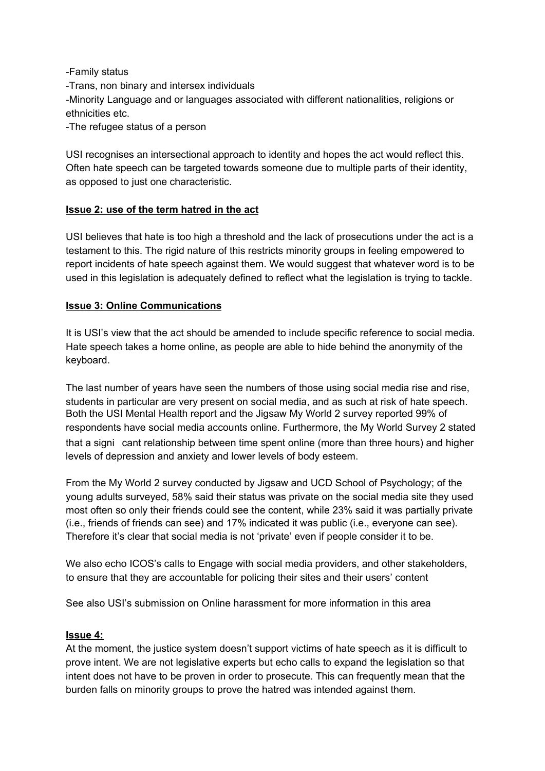-Family status

-Trans, non binary and intersex individuals

-Minority Language and or languages associated with different nationalities, religions or ethnicities etc.

-The refugee status of a person

USI recognises an intersectional approach to identity and hopes the act would reflect this. Often hate speech can be targeted towards someone due to multiple parts of their identity, as opposed to just one characteristic.

### **Issue 2: use of the term hatred in the act**

USI believes that hate is too high a threshold and the lack of prosecutions under the act is a testament to this. The rigid nature of this restricts minority groups in feeling empowered to report incidents of hate speech against them. We would suggest that whatever word is to be used in this legislation is adequately defined to reflect what the legislation is trying to tackle.

### **Issue 3: Online Communications**

It is USI's view that the act should be amended to include specific reference to social media. Hate speech takes a home online, as people are able to hide behind the anonymity of the keyboard.

The last number of years have seen the numbers of those using social media rise and rise, students in particular are very present on social media, and as such at risk of hate speech. Both the USI Mental Health report and the Jigsaw My World 2 survey reported 99% of respondents have social media accounts online. Furthermore, the My World Survey 2 stated that a signi cant relationship between time spent online (more than three hours) and higher levels of depression and anxiety and lower levels of body esteem.

From the My World 2 survey conducted by Jigsaw and UCD School of Psychology; of the young adults surveyed, 58% said their status was private on the social media site they used most often so only their friends could see the content, while 23% said it was partially private (i.e., friends of friends can see) and 17% indicated it was public (i.e., everyone can see). Therefore it's clear that social media is not 'private' even if people consider it to be.

We also echo ICOS's calls to Engage with social media providers, and other stakeholders, to ensure that they are accountable for policing their sites and their users' content

See also USI's submission on Online harassment for more information in this area

### **Issue 4:**

At the moment, the justice system doesn't support victims of hate speech as it is difficult to prove intent. We are not legislative experts but echo calls to expand the legislation so that intent does not have to be proven in order to prosecute. This can frequently mean that the burden falls on minority groups to prove the hatred was intended against them.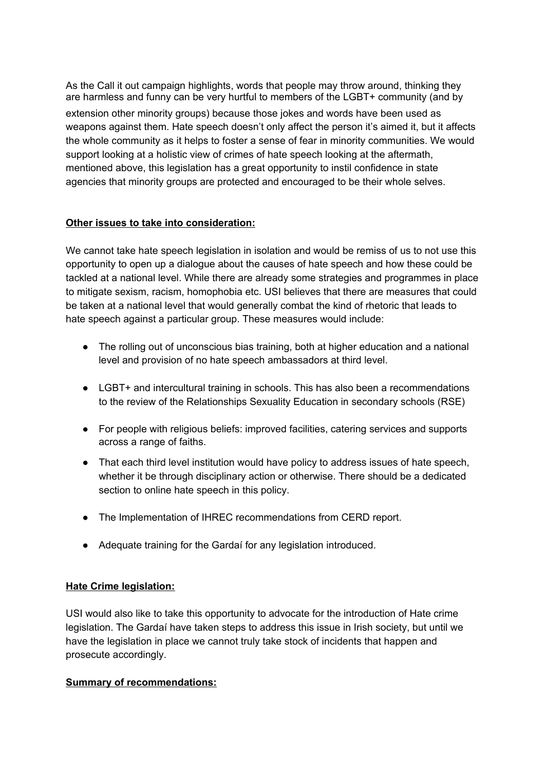As the Call it out campaign highlights, words that people may throw around, thinking they are harmless and funny can be very hurtful to members of the LGBT+ community (and by extension other minority groups) because those jokes and words have been used as weapons against them. Hate speech doesn't only affect the person it's aimed it, but it affects the whole community as it helps to foster a sense of fear in minority communities. We would support looking at a holistic view of crimes of hate speech looking at the aftermath, mentioned above, this legislation has a great opportunity to instil confidence in state agencies that minority groups are protected and encouraged to be their whole selves.

### **Other issues to take into consideration:**

We cannot take hate speech legislation in isolation and would be remiss of us to not use this opportunity to open up a dialogue about the causes of hate speech and how these could be tackled at a national level. While there are already some strategies and programmes in place to mitigate sexism, racism, homophobia etc. USI believes that there are measures that could be taken at a national level that would generally combat the kind of rhetoric that leads to hate speech against a particular group. These measures would include:

- The rolling out of unconscious bias training, both at higher education and a national level and provision of no hate speech ambassadors at third level.
- LGBT+ and intercultural training in schools. This has also been a recommendations to the review of the Relationships Sexuality Education in secondary schools (RSE)
- For people with religious beliefs: improved facilities, catering services and supports across a range of faiths.
- That each third level institution would have policy to address issues of hate speech, whether it be through disciplinary action or otherwise. There should be a dedicated section to online hate speech in this policy.
- The Implementation of IHREC recommendations from CERD report.
- Adequate training for the Gardaí for any legislation introduced.

## **Hate Crime legislation:**

USI would also like to take this opportunity to advocate for the introduction of Hate crime legislation. The Gardaí have taken steps to address this issue in Irish society, but until we have the legislation in place we cannot truly take stock of incidents that happen and prosecute accordingly.

### **Summary of recommendations:**